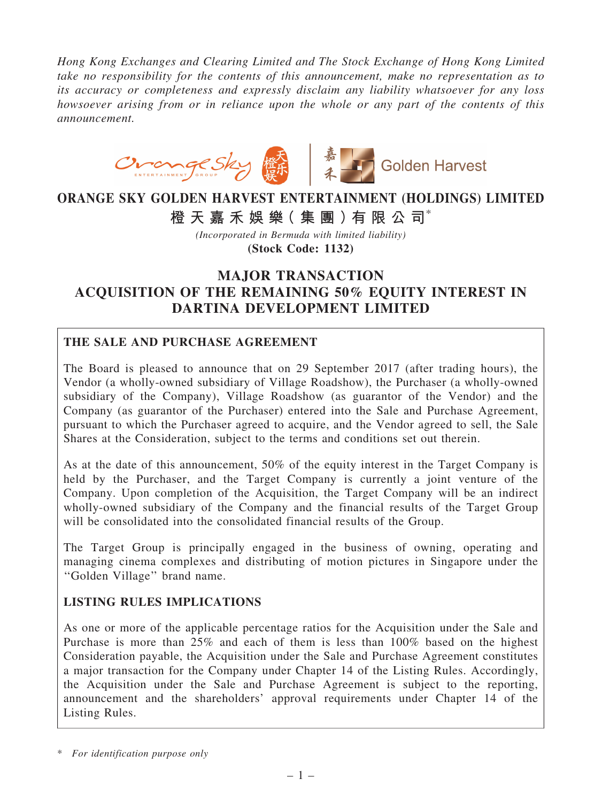*Hong Kong Exchanges and Clearing Limited and The Stock Exchange of Hong Kong Limited take no responsibility for the contents of this announcement, make no representation as to its accuracy or completeness and expressly disclaim any liability whatsoever for any loss howsoever arising from or in reliance upon the whole or any part of the contents of this announcement.*



# ORANGE SKY GOLDEN HARVEST ENTERTAINMENT (HOLDINGS) LIMITED

橙 天 嘉 禾 娛 樂 (集 團 ) 有 限 公 司 $^*$ 

*(Incorporated in Bermuda with limited liability)* (Stock Code: 1132)

## MAJOR TRANSACTION ACQUISITION OF THE REMAINING 50% EQUITY INTEREST IN DARTINA DEVELOPMENT LIMITED

#### THE SALE AND PURCHASE AGREEMENT

The Board is pleased to announce that on 29 September 2017 (after trading hours), the Vendor (a wholly-owned subsidiary of Village Roadshow), the Purchaser (a wholly-owned subsidiary of the Company), Village Roadshow (as guarantor of the Vendor) and the Company (as guarantor of the Purchaser) entered into the Sale and Purchase Agreement, pursuant to which the Purchaser agreed to acquire, and the Vendor agreed to sell, the Sale Shares at the Consideration, subject to the terms and conditions set out therein.

As at the date of this announcement, 50% of the equity interest in the Target Company is held by the Purchaser, and the Target Company is currently a joint venture of the Company. Upon completion of the Acquisition, the Target Company will be an indirect wholly-owned subsidiary of the Company and the financial results of the Target Group will be consolidated into the consolidated financial results of the Group.

The Target Group is principally engaged in the business of owning, operating and managing cinema complexes and distributing of motion pictures in Singapore under the ''Golden Village'' brand name.

#### LISTING RULES IMPLICATIONS

As one or more of the applicable percentage ratios for the Acquisition under the Sale and Purchase is more than 25% and each of them is less than 100% based on the highest Consideration payable, the Acquisition under the Sale and Purchase Agreement constitutes a major transaction for the Company under Chapter 14 of the Listing Rules. Accordingly, the Acquisition under the Sale and Purchase Agreement is subject to the reporting, announcement and the shareholders' approval requirements under Chapter 14 of the Listing Rules.

<sup>\*</sup> *For identification purpose only*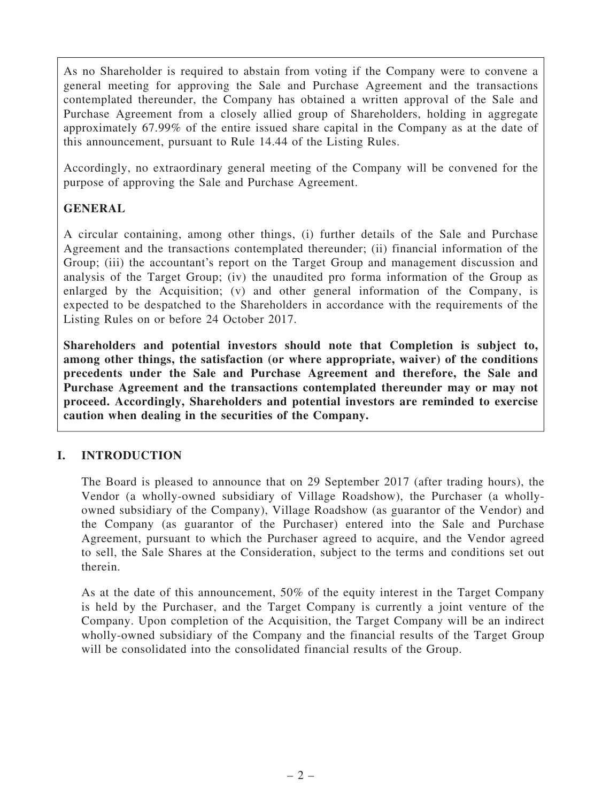As no Shareholder is required to abstain from voting if the Company were to convene a general meeting for approving the Sale and Purchase Agreement and the transactions contemplated thereunder, the Company has obtained a written approval of the Sale and Purchase Agreement from a closely allied group of Shareholders, holding in aggregate approximately 67.99% of the entire issued share capital in the Company as at the date of this announcement, pursuant to Rule 14.44 of the Listing Rules.

Accordingly, no extraordinary general meeting of the Company will be convened for the purpose of approving the Sale and Purchase Agreement.

#### GENERAL

A circular containing, among other things, (i) further details of the Sale and Purchase Agreement and the transactions contemplated thereunder; (ii) financial information of the Group; (iii) the accountant's report on the Target Group and management discussion and analysis of the Target Group; (iv) the unaudited pro forma information of the Group as enlarged by the Acquisition; (v) and other general information of the Company, is expected to be despatched to the Shareholders in accordance with the requirements of the Listing Rules on or before 24 October 2017.

Shareholders and potential investors should note that Completion is subject to, among other things, the satisfaction (or where appropriate, waiver) of the conditions precedents under the Sale and Purchase Agreement and therefore, the Sale and Purchase Agreement and the transactions contemplated thereunder may or may not proceed. Accordingly, Shareholders and potential investors are reminded to exercise caution when dealing in the securities of the Company.

#### I. INTRODUCTION

The Board is pleased to announce that on 29 September 2017 (after trading hours), the Vendor (a wholly-owned subsidiary of Village Roadshow), the Purchaser (a whollyowned subsidiary of the Company), Village Roadshow (as guarantor of the Vendor) and the Company (as guarantor of the Purchaser) entered into the Sale and Purchase Agreement, pursuant to which the Purchaser agreed to acquire, and the Vendor agreed to sell, the Sale Shares at the Consideration, subject to the terms and conditions set out therein.

As at the date of this announcement, 50% of the equity interest in the Target Company is held by the Purchaser, and the Target Company is currently a joint venture of the Company. Upon completion of the Acquisition, the Target Company will be an indirect wholly-owned subsidiary of the Company and the financial results of the Target Group will be consolidated into the consolidated financial results of the Group.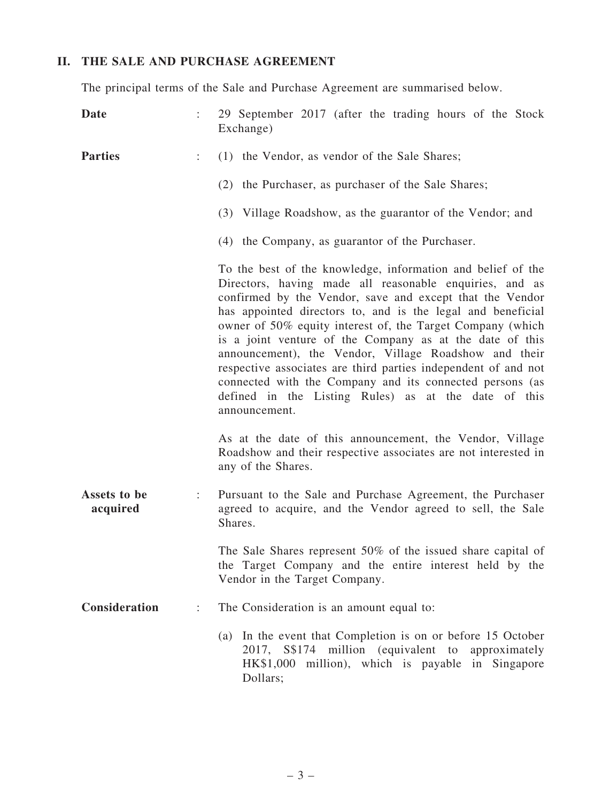### II. THE SALE AND PURCHASE AGREEMENT

The principal terms of the Sale and Purchase Agreement are summarised below.

| Date                     |                      | 29 September 2017 (after the trading hours of the Stock<br>Exchange)                                                                                                                                                                                                                                                                                                                                                                                                                                                                                                                                                                        |
|--------------------------|----------------------|---------------------------------------------------------------------------------------------------------------------------------------------------------------------------------------------------------------------------------------------------------------------------------------------------------------------------------------------------------------------------------------------------------------------------------------------------------------------------------------------------------------------------------------------------------------------------------------------------------------------------------------------|
| <b>Parties</b>           | ÷                    | (1) the Vendor, as vendor of the Sale Shares;                                                                                                                                                                                                                                                                                                                                                                                                                                                                                                                                                                                               |
|                          |                      | (2) the Purchaser, as purchaser of the Sale Shares;                                                                                                                                                                                                                                                                                                                                                                                                                                                                                                                                                                                         |
|                          |                      | (3) Village Roadshow, as the guarantor of the Vendor; and                                                                                                                                                                                                                                                                                                                                                                                                                                                                                                                                                                                   |
|                          |                      | (4) the Company, as guarantor of the Purchaser.                                                                                                                                                                                                                                                                                                                                                                                                                                                                                                                                                                                             |
|                          |                      | To the best of the knowledge, information and belief of the<br>Directors, having made all reasonable enquiries, and as<br>confirmed by the Vendor, save and except that the Vendor<br>has appointed directors to, and is the legal and beneficial<br>owner of 50% equity interest of, the Target Company (which<br>is a joint venture of the Company as at the date of this<br>announcement), the Vendor, Village Roadshow and their<br>respective associates are third parties independent of and not<br>connected with the Company and its connected persons (as<br>defined in the Listing Rules) as at the date of this<br>announcement. |
|                          |                      | As at the date of this announcement, the Vendor, Village<br>Roadshow and their respective associates are not interested in<br>any of the Shares.                                                                                                                                                                                                                                                                                                                                                                                                                                                                                            |
| Assets to be<br>acquired | $\ddot{\phantom{a}}$ | Pursuant to the Sale and Purchase Agreement, the Purchaser<br>agreed to acquire, and the Vendor agreed to sell, the Sale<br>Shares.                                                                                                                                                                                                                                                                                                                                                                                                                                                                                                         |
|                          |                      | The Sale Shares represent $50\%$ of the issued share capital of<br>the Target Company and the entire interest held by the<br>Vendor in the Target Company.                                                                                                                                                                                                                                                                                                                                                                                                                                                                                  |
| Consideration            | ÷.                   | The Consideration is an amount equal to:                                                                                                                                                                                                                                                                                                                                                                                                                                                                                                                                                                                                    |
|                          |                      | (a) In the event that Completion is on or before 15 October<br>2017, S\$174 million (equivalent to<br>approximately<br>HK\$1,000 million), which is payable in Singapore<br>Dollars;                                                                                                                                                                                                                                                                                                                                                                                                                                                        |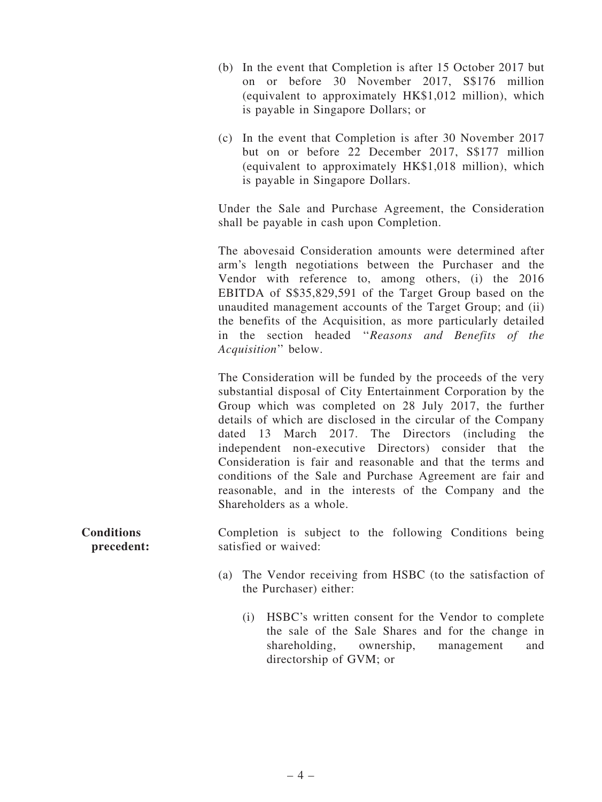- (b) In the event that Completion is after 15 October 2017 but on or before 30 November 2017, S\$176 million (equivalent to approximately HK\$1,012 million), which is payable in Singapore Dollars; or
- (c) In the event that Completion is after 30 November 2017 but on or before 22 December 2017, S\$177 million (equivalent to approximately HK\$1,018 million), which is payable in Singapore Dollars.

Under the Sale and Purchase Agreement, the Consideration shall be payable in cash upon Completion.

The abovesaid Consideration amounts were determined after arm's length negotiations between the Purchaser and the Vendor with reference to, among others, (i) the 2016 EBITDA of S\$35,829,591 of the Target Group based on the unaudited management accounts of the Target Group; and (ii) the benefits of the Acquisition, as more particularly detailed in the section headed ''*Reasons and Benefits of the Acquisition*'' below.

The Consideration will be funded by the proceeds of the very substantial disposal of City Entertainment Corporation by the Group which was completed on 28 July 2017, the further details of which are disclosed in the circular of the Company dated 13 March 2017. The Directors (including the independent non-executive Directors) consider that the Consideration is fair and reasonable and that the terms and conditions of the Sale and Purchase Agreement are fair and reasonable, and in the interests of the Company and the Shareholders as a whole.

**Conditions** precedent: Completion is subject to the following Conditions being satisfied or waived:

- (a) The Vendor receiving from HSBC (to the satisfaction of the Purchaser) either:
	- (i) HSBC's written consent for the Vendor to complete the sale of the Sale Shares and for the change in shareholding, ownership, management and directorship of GVM; or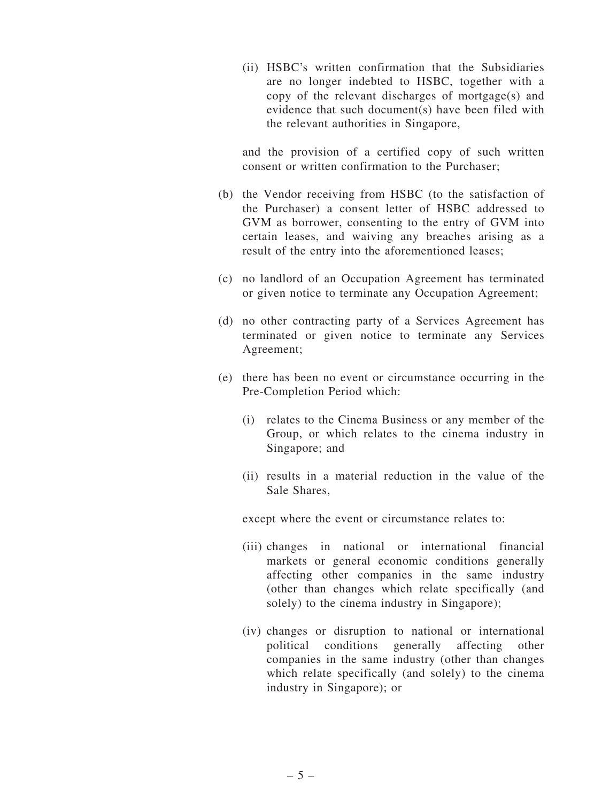(ii) HSBC's written confirmation that the Subsidiaries are no longer indebted to HSBC, together with a copy of the relevant discharges of mortgage(s) and evidence that such document(s) have been filed with the relevant authorities in Singapore,

and the provision of a certified copy of such written consent or written confirmation to the Purchaser;

- (b) the Vendor receiving from HSBC (to the satisfaction of the Purchaser) a consent letter of HSBC addressed to GVM as borrower, consenting to the entry of GVM into certain leases, and waiving any breaches arising as a result of the entry into the aforementioned leases;
- (c) no landlord of an Occupation Agreement has terminated or given notice to terminate any Occupation Agreement;
- (d) no other contracting party of a Services Agreement has terminated or given notice to terminate any Services Agreement;
- (e) there has been no event or circumstance occurring in the Pre-Completion Period which:
	- (i) relates to the Cinema Business or any member of the Group, or which relates to the cinema industry in Singapore; and
	- (ii) results in a material reduction in the value of the Sale Shares,

except where the event or circumstance relates to:

- (iii) changes in national or international financial markets or general economic conditions generally affecting other companies in the same industry (other than changes which relate specifically (and solely) to the cinema industry in Singapore);
- (iv) changes or disruption to national or international political conditions generally affecting other companies in the same industry (other than changes which relate specifically (and solely) to the cinema industry in Singapore); or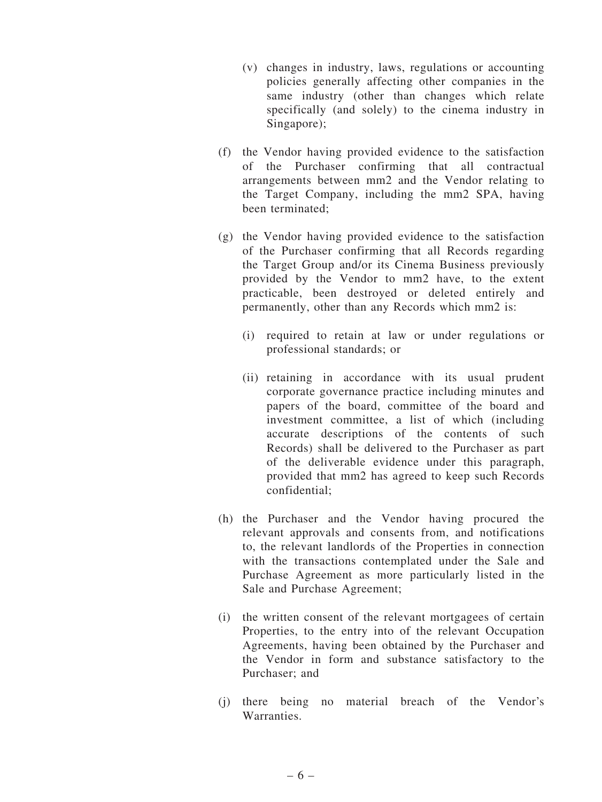- (v) changes in industry, laws, regulations or accounting policies generally affecting other companies in the same industry (other than changes which relate specifically (and solely) to the cinema industry in Singapore);
- (f) the Vendor having provided evidence to the satisfaction of the Purchaser confirming that all contractual arrangements between mm2 and the Vendor relating to the Target Company, including the mm2 SPA, having been terminated;
- (g) the Vendor having provided evidence to the satisfaction of the Purchaser confirming that all Records regarding the Target Group and/or its Cinema Business previously provided by the Vendor to mm2 have, to the extent practicable, been destroyed or deleted entirely and permanently, other than any Records which mm2 is:
	- (i) required to retain at law or under regulations or professional standards; or
	- (ii) retaining in accordance with its usual prudent corporate governance practice including minutes and papers of the board, committee of the board and investment committee, a list of which (including accurate descriptions of the contents of such Records) shall be delivered to the Purchaser as part of the deliverable evidence under this paragraph, provided that mm2 has agreed to keep such Records confidential;
- (h) the Purchaser and the Vendor having procured the relevant approvals and consents from, and notifications to, the relevant landlords of the Properties in connection with the transactions contemplated under the Sale and Purchase Agreement as more particularly listed in the Sale and Purchase Agreement;
- (i) the written consent of the relevant mortgagees of certain Properties, to the entry into of the relevant Occupation Agreements, having been obtained by the Purchaser and the Vendor in form and substance satisfactory to the Purchaser; and
- (j) there being no material breach of the Vendor's Warranties.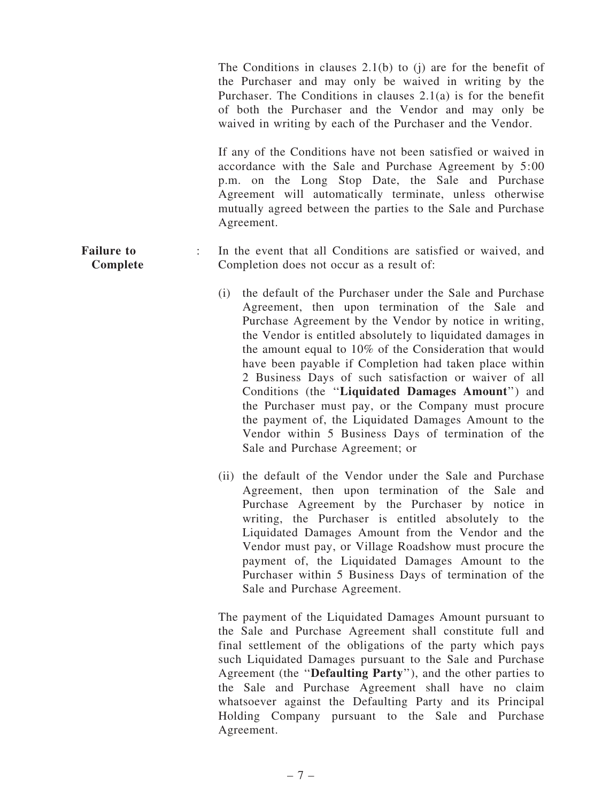The Conditions in clauses 2.1(b) to (j) are for the benefit of the Purchaser and may only be waived in writing by the Purchaser. The Conditions in clauses 2.1(a) is for the benefit of both the Purchaser and the Vendor and may only be waived in writing by each of the Purchaser and the Vendor.

If any of the Conditions have not been satisfied or waived in accordance with the Sale and Purchase Agreement by 5:00 p.m. on the Long Stop Date, the Sale and Purchase Agreement will automatically terminate, unless otherwise mutually agreed between the parties to the Sale and Purchase Agreement.

#### Failure to Complete : In the event that all Conditions are satisfied or waived, and Completion does not occur as a result of:

- (i) the default of the Purchaser under the Sale and Purchase Agreement, then upon termination of the Sale and Purchase Agreement by the Vendor by notice in writing, the Vendor is entitled absolutely to liquidated damages in the amount equal to 10% of the Consideration that would have been payable if Completion had taken place within 2 Business Days of such satisfaction or waiver of all Conditions (the ''Liquidated Damages Amount'') and the Purchaser must pay, or the Company must procure the payment of, the Liquidated Damages Amount to the Vendor within 5 Business Days of termination of the Sale and Purchase Agreement; or
- (ii) the default of the Vendor under the Sale and Purchase Agreement, then upon termination of the Sale and Purchase Agreement by the Purchaser by notice in writing, the Purchaser is entitled absolutely to the Liquidated Damages Amount from the Vendor and the Vendor must pay, or Village Roadshow must procure the payment of, the Liquidated Damages Amount to the Purchaser within 5 Business Days of termination of the Sale and Purchase Agreement.

The payment of the Liquidated Damages Amount pursuant to the Sale and Purchase Agreement shall constitute full and final settlement of the obligations of the party which pays such Liquidated Damages pursuant to the Sale and Purchase Agreement (the ''Defaulting Party''), and the other parties to the Sale and Purchase Agreement shall have no claim whatsoever against the Defaulting Party and its Principal Holding Company pursuant to the Sale and Purchase Agreement.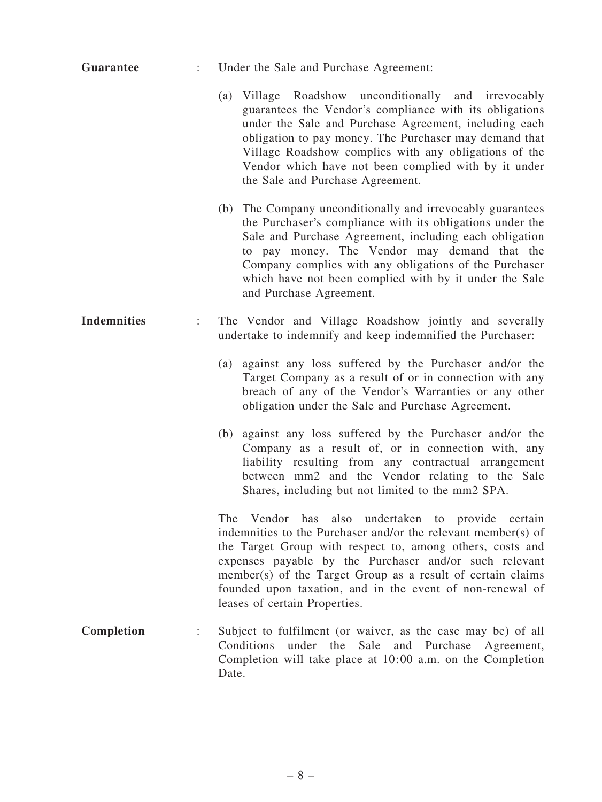| <b>Guarantee</b>   |                           | Under the Sale and Purchase Agreement:                                                                                                                                                                                                                                                                                                                                                                 |
|--------------------|---------------------------|--------------------------------------------------------------------------------------------------------------------------------------------------------------------------------------------------------------------------------------------------------------------------------------------------------------------------------------------------------------------------------------------------------|
|                    |                           | (a) Village Roadshow unconditionally and irrevocably<br>guarantees the Vendor's compliance with its obligations<br>under the Sale and Purchase Agreement, including each<br>obligation to pay money. The Purchaser may demand that<br>Village Roadshow complies with any obligations of the<br>Vendor which have not been complied with by it under<br>the Sale and Purchase Agreement.                |
|                    |                           | (b) The Company unconditionally and irrevocably guarantees<br>the Purchaser's compliance with its obligations under the<br>Sale and Purchase Agreement, including each obligation<br>to pay money. The Vendor may demand that the<br>Company complies with any obligations of the Purchaser<br>which have not been complied with by it under the Sale<br>and Purchase Agreement.                       |
| <b>Indemnities</b> | $\mathbb{Z}^{\mathbb{Z}}$ | The Vendor and Village Roadshow jointly and severally<br>undertake to indemnify and keep indemnified the Purchaser:                                                                                                                                                                                                                                                                                    |
|                    |                           | against any loss suffered by the Purchaser and/or the<br>(a)<br>Target Company as a result of or in connection with any<br>breach of any of the Vendor's Warranties or any other<br>obligation under the Sale and Purchase Agreement.                                                                                                                                                                  |
|                    |                           | (b) against any loss suffered by the Purchaser and/or the<br>Company as a result of, or in connection with, any<br>liability resulting from any contractual arrangement<br>between mm2 and the Vendor relating to the Sale<br>Shares, including but not limited to the mm2 SPA.                                                                                                                        |
|                    |                           | The Vendor has also undertaken to provide certain<br>indemnities to the Purchaser and/or the relevant member(s) of<br>the Target Group with respect to, among others, costs and<br>expenses payable by the Purchaser and/or such relevant<br>member(s) of the Target Group as a result of certain claims<br>founded upon taxation, and in the event of non-renewal of<br>leases of certain Properties. |
| Completion         |                           | Subject to fulfilment (or waiver, as the case may be) of all<br>under the Sale and Purchase Agreement,<br>Conditions<br>Completion will take place at 10:00 a.m. on the Completion<br>Date.                                                                                                                                                                                                            |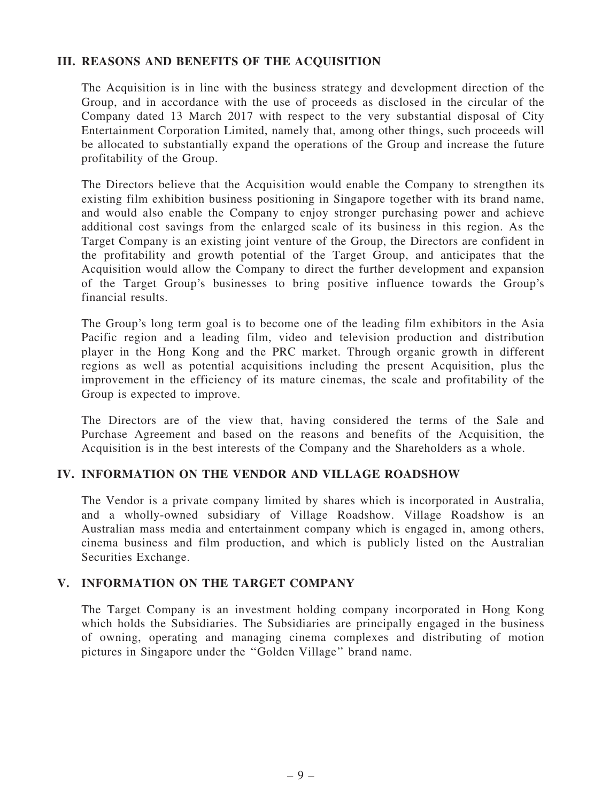#### III. REASONS AND BENEFITS OF THE ACQUISITION

The Acquisition is in line with the business strategy and development direction of the Group, and in accordance with the use of proceeds as disclosed in the circular of the Company dated 13 March 2017 with respect to the very substantial disposal of City Entertainment Corporation Limited, namely that, among other things, such proceeds will be allocated to substantially expand the operations of the Group and increase the future profitability of the Group.

The Directors believe that the Acquisition would enable the Company to strengthen its existing film exhibition business positioning in Singapore together with its brand name, and would also enable the Company to enjoy stronger purchasing power and achieve additional cost savings from the enlarged scale of its business in this region. As the Target Company is an existing joint venture of the Group, the Directors are confident in the profitability and growth potential of the Target Group, and anticipates that the Acquisition would allow the Company to direct the further development and expansion of the Target Group's businesses to bring positive influence towards the Group's financial results.

The Group's long term goal is to become one of the leading film exhibitors in the Asia Pacific region and a leading film, video and television production and distribution player in the Hong Kong and the PRC market. Through organic growth in different regions as well as potential acquisitions including the present Acquisition, plus the improvement in the efficiency of its mature cinemas, the scale and profitability of the Group is expected to improve.

The Directors are of the view that, having considered the terms of the Sale and Purchase Agreement and based on the reasons and benefits of the Acquisition, the Acquisition is in the best interests of the Company and the Shareholders as a whole.

#### IV. INFORMATION ON THE VENDOR AND VILLAGE ROADSHOW

The Vendor is a private company limited by shares which is incorporated in Australia, and a wholly-owned subsidiary of Village Roadshow. Village Roadshow is an Australian mass media and entertainment company which is engaged in, among others, cinema business and film production, and which is publicly listed on the Australian Securities Exchange.

#### V. INFORMATION ON THE TARGET COMPANY

The Target Company is an investment holding company incorporated in Hong Kong which holds the Subsidiaries. The Subsidiaries are principally engaged in the business of owning, operating and managing cinema complexes and distributing of motion pictures in Singapore under the ''Golden Village'' brand name.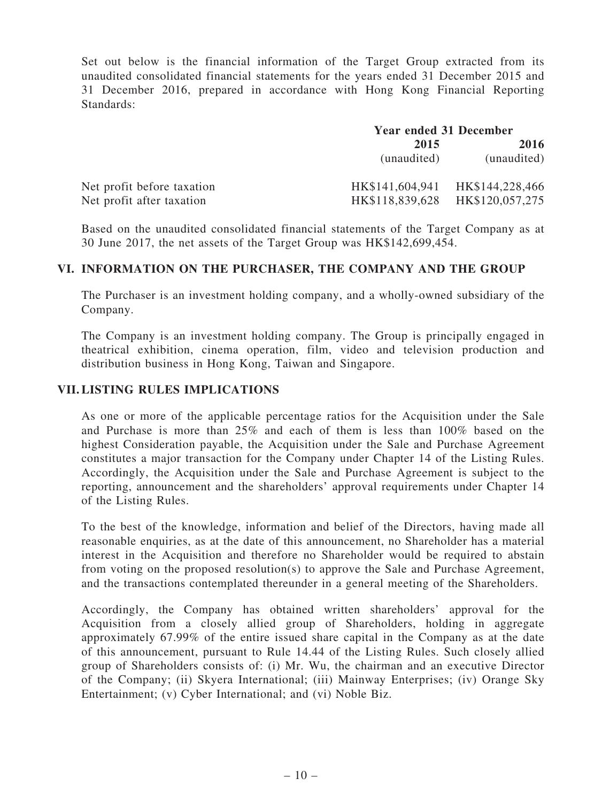Set out below is the financial information of the Target Group extracted from its unaudited consolidated financial statements for the years ended 31 December 2015 and 31 December 2016, prepared in accordance with Hong Kong Financial Reporting Standards:

|                            | <b>Year ended 31 December</b> |                                 |
|----------------------------|-------------------------------|---------------------------------|
|                            | 2015                          | 2016                            |
|                            | (unaudited)                   | (unaudited)                     |
| Net profit before taxation |                               | HK\$141,604,941 HK\$144,228,466 |
| Net profit after taxation  | HK\$118,839,628               | HK\$120,057,275                 |

Based on the unaudited consolidated financial statements of the Target Company as at 30 June 2017, the net assets of the Target Group was HK\$142,699,454.

#### VI. INFORMATION ON THE PURCHASER, THE COMPANY AND THE GROUP

The Purchaser is an investment holding company, and a wholly-owned subsidiary of the Company.

The Company is an investment holding company. The Group is principally engaged in theatrical exhibition, cinema operation, film, video and television production and distribution business in Hong Kong, Taiwan and Singapore.

#### VII. LISTING RULES IMPLICATIONS

As one or more of the applicable percentage ratios for the Acquisition under the Sale and Purchase is more than 25% and each of them is less than 100% based on the highest Consideration payable, the Acquisition under the Sale and Purchase Agreement constitutes a major transaction for the Company under Chapter 14 of the Listing Rules. Accordingly, the Acquisition under the Sale and Purchase Agreement is subject to the reporting, announcement and the shareholders' approval requirements under Chapter 14 of the Listing Rules.

To the best of the knowledge, information and belief of the Directors, having made all reasonable enquiries, as at the date of this announcement, no Shareholder has a material interest in the Acquisition and therefore no Shareholder would be required to abstain from voting on the proposed resolution(s) to approve the Sale and Purchase Agreement, and the transactions contemplated thereunder in a general meeting of the Shareholders.

Accordingly, the Company has obtained written shareholders' approval for the Acquisition from a closely allied group of Shareholders, holding in aggregate approximately 67.99% of the entire issued share capital in the Company as at the date of this announcement, pursuant to Rule 14.44 of the Listing Rules. Such closely allied group of Shareholders consists of: (i) Mr. Wu, the chairman and an executive Director of the Company; (ii) Skyera International; (iii) Mainway Enterprises; (iv) Orange Sky Entertainment; (v) Cyber International; and (vi) Noble Biz.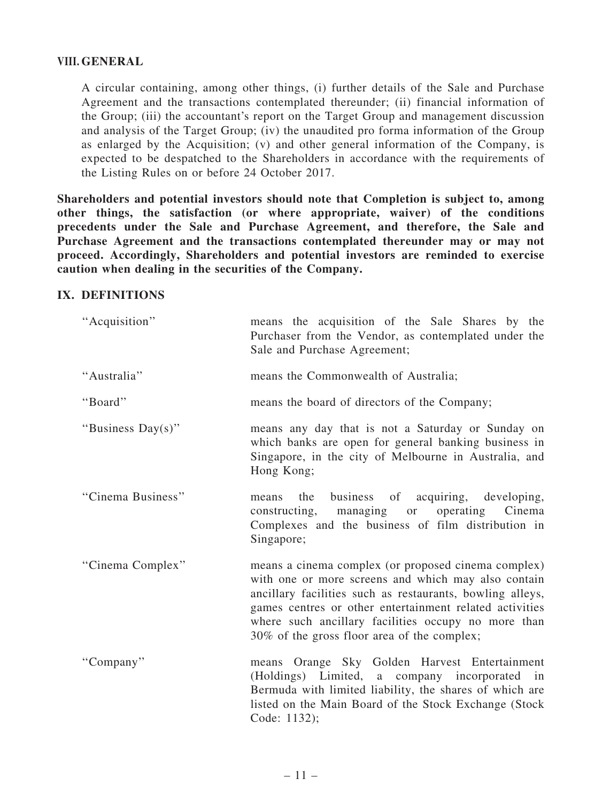#### VIII. GENERAL

A circular containing, among other things, (i) further details of the Sale and Purchase Agreement and the transactions contemplated thereunder; (ii) financial information of the Group; (iii) the accountant's report on the Target Group and management discussion and analysis of the Target Group; (iv) the unaudited pro forma information of the Group as enlarged by the Acquisition; (v) and other general information of the Company, is expected to be despatched to the Shareholders in accordance with the requirements of the Listing Rules on or before 24 October 2017.

Shareholders and potential investors should note that Completion is subject to, among other things, the satisfaction (or where appropriate, waiver) of the conditions precedents under the Sale and Purchase Agreement, and therefore, the Sale and Purchase Agreement and the transactions contemplated thereunder may or may not proceed. Accordingly, Shareholders and potential investors are reminded to exercise caution when dealing in the securities of the Company.

#### IX. DEFINITIONS

| "Acquisition"     | means the acquisition of the Sale Shares by the<br>Purchaser from the Vendor, as contemplated under the<br>Sale and Purchase Agreement;                                                                                                                                                                                                  |
|-------------------|------------------------------------------------------------------------------------------------------------------------------------------------------------------------------------------------------------------------------------------------------------------------------------------------------------------------------------------|
| "Australia"       | means the Commonwealth of Australia;                                                                                                                                                                                                                                                                                                     |
| "Board"           | means the board of directors of the Company;                                                                                                                                                                                                                                                                                             |
| "Business Day(s)" | means any day that is not a Saturday or Sunday on<br>which banks are open for general banking business in<br>Singapore, in the city of Melbourne in Australia, and<br>Hong Kong;                                                                                                                                                         |
| "Cinema Business" | business of acquiring, developing,<br>the<br>means<br>operating<br>constructing,<br>managing<br>Cinema<br>or<br>Complexes and the business of film distribution in<br>Singapore;                                                                                                                                                         |
| "Cinema Complex"  | means a cinema complex (or proposed cinema complex)<br>with one or more screens and which may also contain<br>ancillary facilities such as restaurants, bowling alleys,<br>games centres or other entertainment related activities<br>where such ancillary facilities occupy no more than<br>30% of the gross floor area of the complex; |
| "Company"         | means Orange Sky Golden Harvest Entertainment<br>(Holdings) Limited, a company incorporated in<br>Bermuda with limited liability, the shares of which are<br>listed on the Main Board of the Stock Exchange (Stock<br>Code: 1132);                                                                                                       |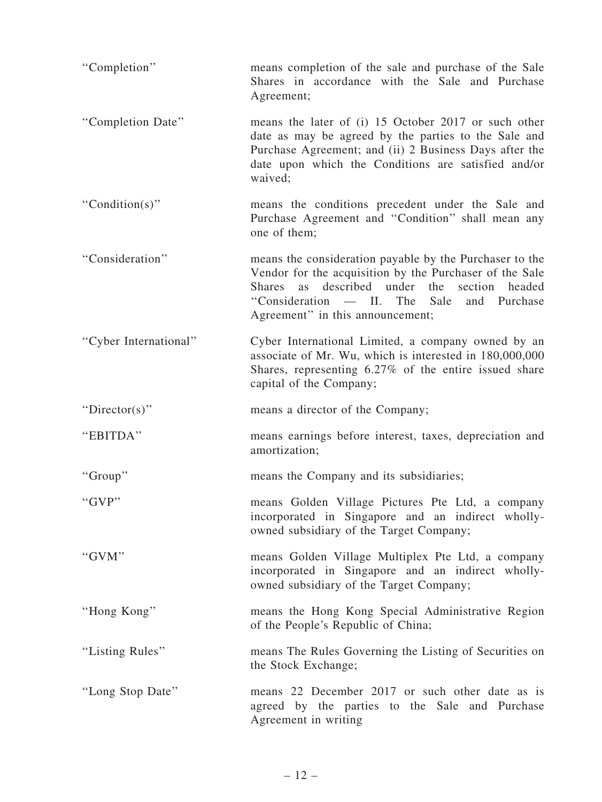| "Completion"          | means completion of the sale and purchase of the Sale<br>Shares in accordance with the Sale and Purchase<br>Agreement;                                                                                                                                                                     |
|-----------------------|--------------------------------------------------------------------------------------------------------------------------------------------------------------------------------------------------------------------------------------------------------------------------------------------|
| "Completion Date"     | means the later of (i) 15 October 2017 or such other<br>date as may be agreed by the parties to the Sale and<br>Purchase Agreement; and (ii) 2 Business Days after the<br>date upon which the Conditions are satisfied and/or<br>waived;                                                   |
| "Condition(s)"        | means the conditions precedent under the Sale and<br>Purchase Agreement and "Condition" shall mean any<br>one of them;                                                                                                                                                                     |
| "Consideration"       | means the consideration payable by the Purchaser to the<br>Vendor for the acquisition by the Purchaser of the Sale<br>described<br>under<br>the<br>section<br><b>Shares</b><br>headed<br><b>as</b><br>"Consideration — II. The<br>Sale<br>and Purchase<br>Agreement" in this announcement; |
| "Cyber International" | Cyber International Limited, a company owned by an<br>associate of Mr. Wu, which is interested in 180,000,000<br>Shares, representing 6.27% of the entire issued share<br>capital of the Company;                                                                                          |
| "Director(s)"         | means a director of the Company;                                                                                                                                                                                                                                                           |
| "EBITDA"              | means earnings before interest, taxes, depreciation and<br>amortization;                                                                                                                                                                                                                   |
| "Group"               | means the Company and its subsidiaries;                                                                                                                                                                                                                                                    |
|                       |                                                                                                                                                                                                                                                                                            |
| "GVP"                 | means Golden Village Pictures Pte Ltd, a company<br>incorporated in Singapore and an indirect wholly-<br>owned subsidiary of the Target Company;                                                                                                                                           |
| "GVM"                 | means Golden Village Multiplex Pte Ltd, a company<br>incorporated in Singapore and an indirect wholly-<br>owned subsidiary of the Target Company;                                                                                                                                          |
| "Hong Kong"           | means the Hong Kong Special Administrative Region<br>of the People's Republic of China;                                                                                                                                                                                                    |
| "Listing Rules"       | means The Rules Governing the Listing of Securities on<br>the Stock Exchange;                                                                                                                                                                                                              |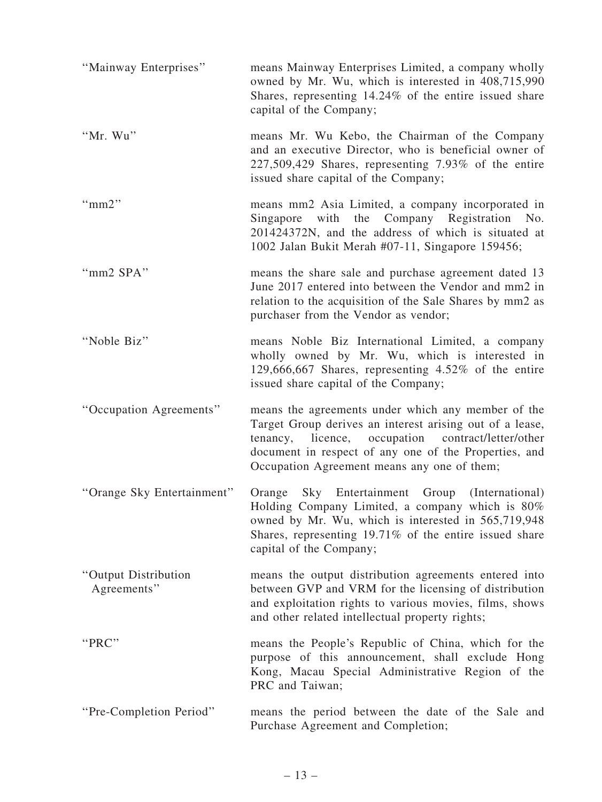| "Mainway Enterprises"               | means Mainway Enterprises Limited, a company wholly<br>owned by Mr. Wu, which is interested in 408,715,990<br>Shares, representing 14.24% of the entire issued share<br>capital of the Company;                                                                              |
|-------------------------------------|------------------------------------------------------------------------------------------------------------------------------------------------------------------------------------------------------------------------------------------------------------------------------|
| "Mr. Wu"                            | means Mr. Wu Kebo, the Chairman of the Company<br>and an executive Director, who is beneficial owner of<br>227,509,429 Shares, representing 7.93% of the entire<br>issued share capital of the Company;                                                                      |
| " $mm2"$                            | means mm2 Asia Limited, a company incorporated in<br>Singapore with the Company Registration No.<br>201424372N, and the address of which is situated at<br>1002 Jalan Bukit Merah #07-11, Singapore 159456;                                                                  |
| "mm2 SPA"                           | means the share sale and purchase agreement dated 13<br>June 2017 entered into between the Vendor and mm2 in<br>relation to the acquisition of the Sale Shares by mm2 as<br>purchaser from the Vendor as vendor;                                                             |
| "Noble Biz"                         | means Noble Biz International Limited, a company<br>wholly owned by Mr. Wu, which is interested in<br>129,666,667 Shares, representing 4.52% of the entire<br>issued share capital of the Company;                                                                           |
| "Occupation Agreements"             | means the agreements under which any member of the<br>Target Group derives an interest arising out of a lease,<br>tenancy, licence, occupation contract/letter/other<br>document in respect of any one of the Properties, and<br>Occupation Agreement means any one of them; |
| "Orange Sky Entertainment"          | Sky Entertainment Group (International)<br>Orange<br>Holding Company Limited, a company which is 80%<br>owned by Mr. Wu, which is interested in 565,719,948<br>Shares, representing 19.71% of the entire issued share<br>capital of the Company;                             |
| "Output Distribution<br>Agreements" | means the output distribution agreements entered into<br>between GVP and VRM for the licensing of distribution<br>and exploitation rights to various movies, films, shows<br>and other related intellectual property rights;                                                 |
| "PRC"                               | means the People's Republic of China, which for the<br>purpose of this announcement, shall exclude Hong<br>Kong, Macau Special Administrative Region of the<br>PRC and Taiwan;                                                                                               |
| "Pre-Completion Period"             | means the period between the date of the Sale and<br>Purchase Agreement and Completion;                                                                                                                                                                                      |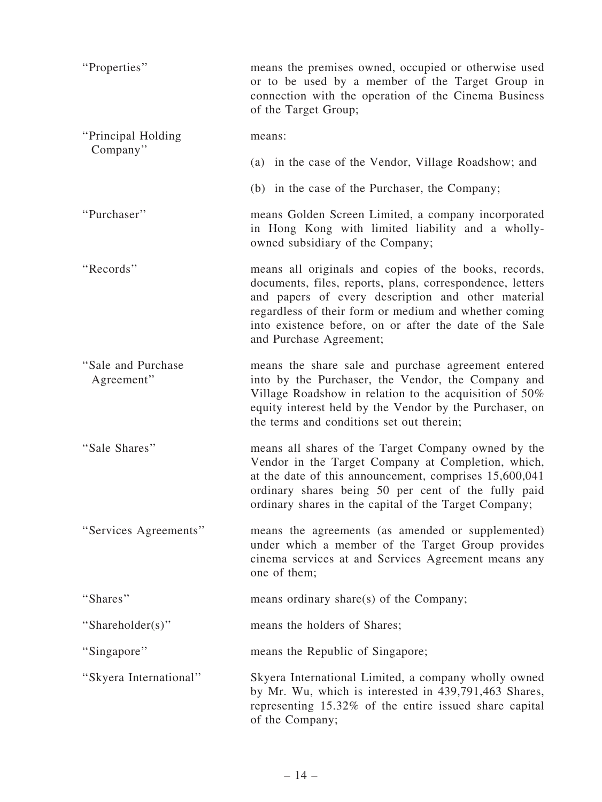| "Properties"                      | means the premises owned, occupied or otherwise used<br>or to be used by a member of the Target Group in<br>connection with the operation of the Cinema Business<br>of the Target Group;                                                                                                                                |
|-----------------------------------|-------------------------------------------------------------------------------------------------------------------------------------------------------------------------------------------------------------------------------------------------------------------------------------------------------------------------|
| "Principal Holding"               | means:                                                                                                                                                                                                                                                                                                                  |
| Company"                          | (a) in the case of the Vendor, Village Roadshow; and                                                                                                                                                                                                                                                                    |
|                                   | (b) in the case of the Purchaser, the Company;                                                                                                                                                                                                                                                                          |
| "Purchaser"                       | means Golden Screen Limited, a company incorporated<br>in Hong Kong with limited liability and a wholly-<br>owned subsidiary of the Company;                                                                                                                                                                            |
| "Records"                         | means all originals and copies of the books, records,<br>documents, files, reports, plans, correspondence, letters<br>and papers of every description and other material<br>regardless of their form or medium and whether coming<br>into existence before, on or after the date of the Sale<br>and Purchase Agreement; |
| "Sale and Purchase"<br>Agreement" | means the share sale and purchase agreement entered<br>into by the Purchaser, the Vendor, the Company and<br>Village Roadshow in relation to the acquisition of 50%<br>equity interest held by the Vendor by the Purchaser, on<br>the terms and conditions set out therein;                                             |
| "Sale Shares"                     | means all shares of the Target Company owned by the<br>Vendor in the Target Company at Completion, which,<br>at the date of this announcement, comprises 15,600,041<br>ordinary shares being 50 per cent of the fully paid<br>ordinary shares in the capital of the Target Company;                                     |
| "Services Agreements"             | means the agreements (as amended or supplemented)<br>under which a member of the Target Group provides<br>cinema services at and Services Agreement means any<br>one of them;                                                                                                                                           |
| "Shares"                          | means ordinary share(s) of the Company;                                                                                                                                                                                                                                                                                 |
| "Shareholder(s)"                  | means the holders of Shares;                                                                                                                                                                                                                                                                                            |
| "Singapore"                       | means the Republic of Singapore;                                                                                                                                                                                                                                                                                        |
| "Skyera International"            | Skyera International Limited, a company wholly owned<br>by Mr. Wu, which is interested in 439,791,463 Shares,<br>representing 15.32% of the entire issued share capital<br>of the Company;                                                                                                                              |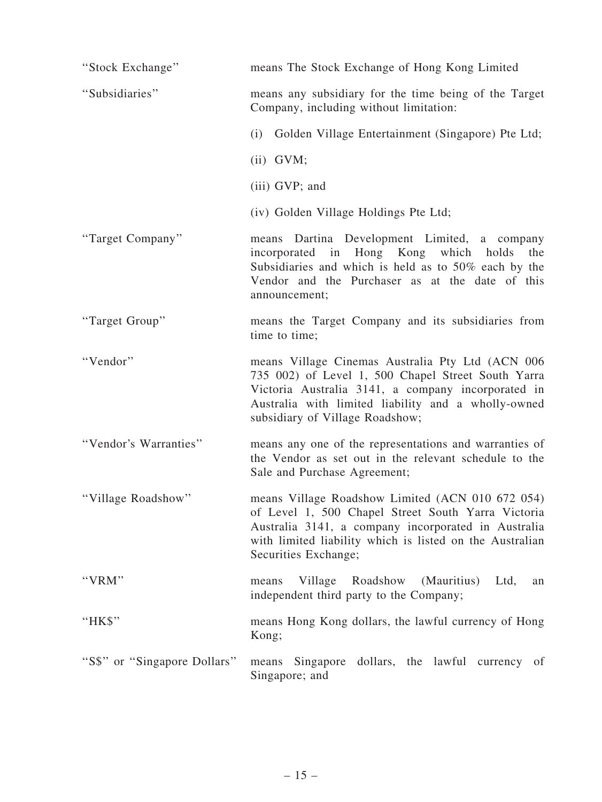| "Stock Exchange"             | means The Stock Exchange of Hong Kong Limited                                                                                                                                                                                                          |
|------------------------------|--------------------------------------------------------------------------------------------------------------------------------------------------------------------------------------------------------------------------------------------------------|
| "Subsidiaries"               | means any subsidiary for the time being of the Target<br>Company, including without limitation:                                                                                                                                                        |
|                              | (i) Golden Village Entertainment (Singapore) Pte Ltd;                                                                                                                                                                                                  |
|                              | $(ii)$ GVM;                                                                                                                                                                                                                                            |
|                              | (iii) GVP; and                                                                                                                                                                                                                                         |
|                              | (iv) Golden Village Holdings Pte Ltd;                                                                                                                                                                                                                  |
| "Target Company"             | means Dartina Development Limited, a company<br>incorporated in Hong Kong which holds<br>the<br>Subsidiaries and which is held as to 50% each by the<br>Vendor and the Purchaser as at the date of this<br>announcement;                               |
| "Target Group"               | means the Target Company and its subsidiaries from<br>time to time;                                                                                                                                                                                    |
| "Vendor"                     | means Village Cinemas Australia Pty Ltd (ACN 006<br>735 002) of Level 1, 500 Chapel Street South Yarra<br>Victoria Australia 3141, a company incorporated in<br>Australia with limited liability and a wholly-owned<br>subsidiary of Village Roadshow; |
| "Vendor's Warranties"        | means any one of the representations and warranties of<br>the Vendor as set out in the relevant schedule to the<br>Sale and Purchase Agreement;                                                                                                        |
| "Village Roadshow"           | means Village Roadshow Limited (ACN 010 672 054)<br>of Level 1, 500 Chapel Street South Yarra Victoria<br>Australia 3141, a company incorporated in Australia<br>with limited liability which is listed on the Australian<br>Securities Exchange;      |
| "VRM"                        | Village Roadshow (Mauritius)<br>Ltd,<br>means<br>an<br>independent third party to the Company;                                                                                                                                                         |
| "HK\$"                       | means Hong Kong dollars, the lawful currency of Hong<br>Kong;                                                                                                                                                                                          |
| "S\$" or "Singapore Dollars" | dollars, the lawful currency of<br>means Singapore<br>Singapore; and                                                                                                                                                                                   |